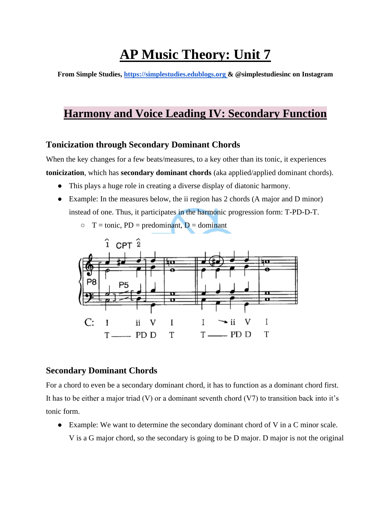# **AP Music Theory: Unit 7**

**From Simple Studies, https://simplestudies.edublogs.org & @simplestudiesinc on Instagram**

# **Harmony and Voice Leading IV: Secondary Function**

### **Tonicization through Secondary Dominant Chords**

When the key changes for a few beats/measures, to a key other than its tonic, it experiences **tonicization**, which has **secondary dominant chords** (aka applied/applied dominant chords).

- This plays a huge role in creating a diverse display of diatonic harmony.
- Example: In the measures below, the ii region has 2 chords (A major and D minor) instead of one. Thus, it participates in the harmonic progression form: T-PD-D-T.
	- $\circ$  T = tonic, PD = predominant, D = dominant



#### **Secondary Dominant Chords**

For a chord to even be a secondary dominant chord, it has to function as a dominant chord first. It has to be either a major triad  $(V)$  or a dominant seventh chord  $(V7)$  to transition back into it's tonic form.

● Example: We want to determine the secondary dominant chord of V in a C minor scale. V is a G major chord, so the secondary is going to be D major. D major is not the original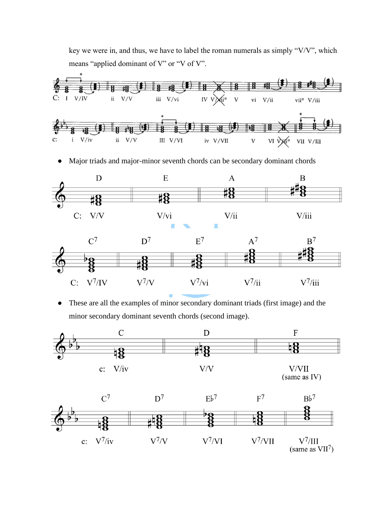key we were in, and thus, we have to label the roman numerals as simply "V/V", which means "applied dominant of V" or "V of V".



● Major triads and major-minor seventh chords can be secondary dominant chords



● These are all the examples of minor secondary dominant triads (first image) and the minor secondary dominant seventh chords (second image).



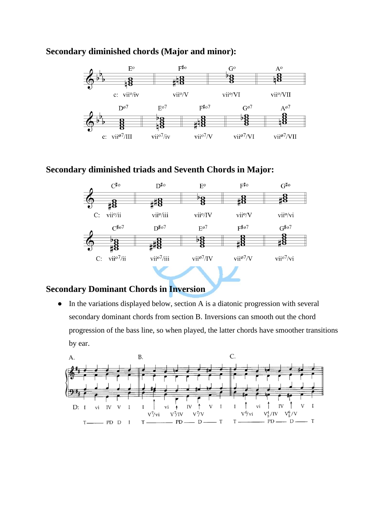#### $F^{\sharp o}$  $\rm E^o$  $A^{\text{o}}$  $G^o$  $^{\flat}$ g  $\frac{8}{18}$ #18 -8  $\rm vii^o\!/\!V$  $c$ :  $vi<sup>0</sup>/iv$ vii<sup>o</sup>/VI vii<sup>o</sup>/VII  $D^{\omega 7}$  $E^{o7}$  $F^{\sharp}$ o7  $G^{\varnothing}$ <sup>7</sup>  $A^{\varnothing 7}$  $\frac{1}{8}$  $\frac{8}{18}$ #8 vii<sup>ø7</sup>/VI c:  $vi^{107}/III$ vii<sup>o7</sup>/iv vii<sup>o7</sup>/V vii<sup>ø7</sup>/VII

#### **Secondary diminished chords (Major and minor):**

#### **Secondary diminished triads and Seventh Chords in Major:**



### **Secondary Dominant Chords in Inversion**

● In the variations displayed below, section A is a diatonic progression with several secondary dominant chords from section B. Inversions can smooth out the chord progression of the bass line, so when played, the latter chords have smoother transitions by ear.

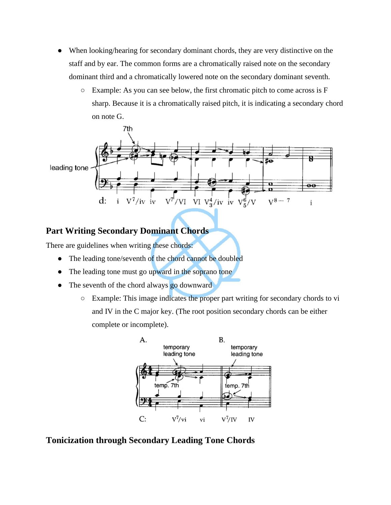- When looking/hearing for secondary dominant chords, they are very distinctive on the staff and by ear. The common forms are a chromatically raised note on the secondary dominant third and a chromatically lowered note on the secondary dominant seventh.
	- Example: As you can see below, the first chromatic pitch to come across is F sharp. Because it is a chromatically raised pitch, it is indicating a secondary chord on note G.



## **Part Writing Secondary Dominant Chords**

There are guidelines when writing these chords:

- The leading tone/seventh of the chord cannot be doubled
- The leading tone must go upward in the soprano tone
- The seventh of the chord always go downward
	- Example: This image indicates the proper part writing for secondary chords to vi and IV in the C major key. (The root position secondary chords can be either complete or incomplete).



#### **Tonicization through Secondary Leading Tone Chords**